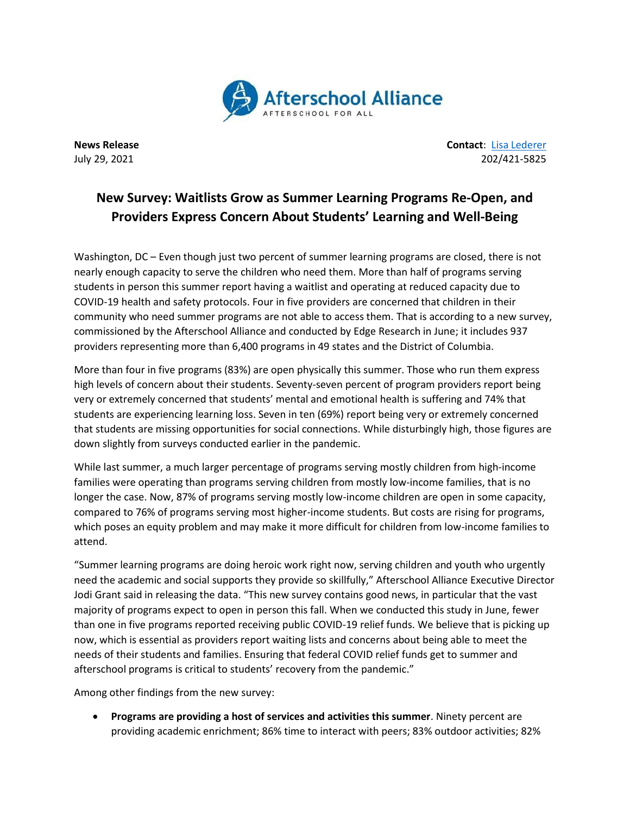

**News Release Contact**: Lisa [Lederer](mailto:lisa@prsolutionsdc.com) July 29, 2021 202/421-5825

## **New Survey: Waitlists Grow as Summer Learning Programs Re-Open, and Providers Express Concern About Students' Learning and Well-Being**

Washington, DC – Even though just two percent of summer learning programs are closed, there is not nearly enough capacity to serve the children who need them. More than half of programs serving students in person this summer report having a waitlist and operating at reduced capacity due to COVID-19 health and safety protocols. Four in five providers are concerned that children in their community who need summer programs are not able to access them. That is according to a new survey, commissioned by the Afterschool Alliance and conducted by Edge Research in June; it includes 937 providers representing more than 6,400 programs in 49 states and the District of Columbia.

More than four in five programs (83%) are open physically this summer. Those who run them express high levels of concern about their students. Seventy-seven percent of program providers report being very or extremely concerned that students' mental and emotional health is suffering and 74% that students are experiencing learning loss. Seven in ten (69%) report being very or extremely concerned that students are missing opportunities for social connections. While disturbingly high, those figures are down slightly from surveys conducted earlier in the pandemic.

While last summer, a much larger percentage of programs serving mostly children from high-income families were operating than programs serving children from mostly low-income families, that is no longer the case. Now, 87% of programs serving mostly low-income children are open in some capacity, compared to 76% of programs serving most higher-income students. But costs are rising for programs, which poses an equity problem and may make it more difficult for children from low-income families to attend.

"Summer learning programs are doing heroic work right now, serving children and youth who urgently need the academic and social supports they provide so skillfully," Afterschool Alliance Executive Director Jodi Grant said in releasing the data. "This new survey contains good news, in particular that the vast majority of programs expect to open in person this fall. When we conducted this study in June, fewer than one in five programs reported receiving public COVID-19 relief funds. We believe that is picking up now, which is essential as providers report waiting lists and concerns about being able to meet the needs of their students and families. Ensuring that federal COVID relief funds get to summer and afterschool programs is critical to students' recovery from the pandemic."

Among other findings from the new survey:

 **Programs are providing a host of services and activities this summer**. Ninety percent are providing academic enrichment; 86% time to interact with peers; 83% outdoor activities; 82%